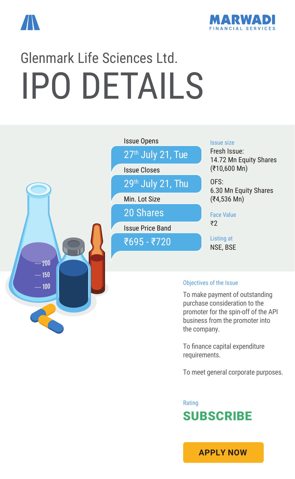



# Glenmark Life Sciences Ltd. IPO DETAILS



To finance capital expenditure requirements.

To meet general corporate purposes.

Rating **SUBSCRIBE** 

**[APPLY NOW](https://boffice.marwadionline.com/MSFLBackoffice/ipo.aspx)**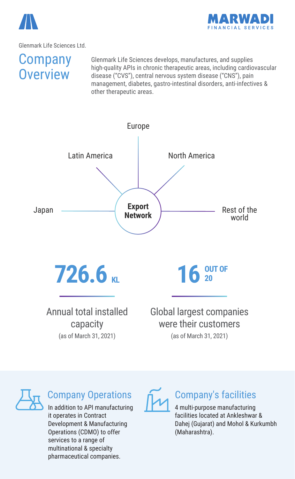



## **Company Overview**

Glenmark Life Sciences develops, manufactures, and supplies high-quality APIs in chronic therapeutic areas, including cardiovascular disease ("CVS"), central nervous system disease ("CNS"), pain management, diabetes, gastro-intestinal disorders, anti-infectives & other therapeutic areas.





### Company Operations

In addition to API manufacturing it operates in Contract Development & Manufacturing Operations (CDMO) to offer services to a range of multinational & specialty pharmaceutical companies.

### Company's facilities

4 multi-purpose manufacturing facilities located at Ankleshwar & Dahej (Gujarat) and Mohol & Kurkumbh (Maharashtra).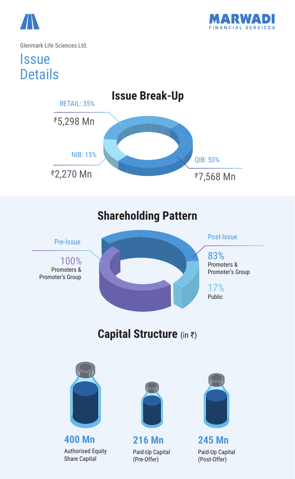



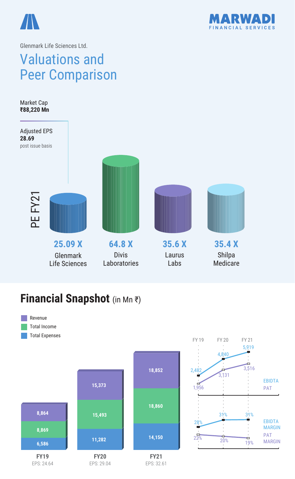



# Valuations and Peer Comparison

**35.4 X** Shilpa Medicare **35.6 X** Laurus Labs **64.8 X** Divis Laboratories **25.09 X** Glenmark Life Sciences Market Cap **₹88,220 Mn** Adjusted EPS **28.69** post issue basis PE FY21

### **Financial Snapshot** (in Mn ₹)